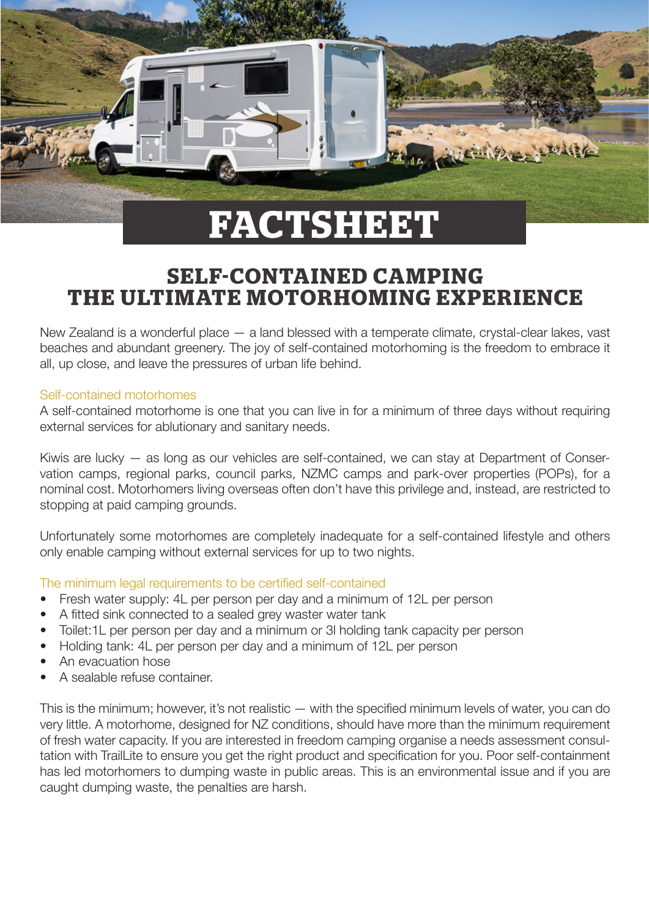

# **SELF-CONTAINED CAMPING THE ULTIMATE MOTORHOMING EXPERIENCE**

New Zealand is a wonderful place — a land blessed with a temperate climate, crystal-clear lakes, vast beaches and abundant greenery. The joy of self-contained motorhoming is the freedom to embrace it all, up close, and leave the pressures of urban life behind.

### Self-contained motorhomes

A self-contained motorhome is one that you can live in for a minimum of three days without requiring external services for ablutionary and sanitary needs.

Kiwis are lucky — as long as our vehicles are self-contained, we can stay at Department of Conservation camps, regional parks, council parks, NZMC camps and park-over properties (POPs), for a nominal cost. Motorhomers living overseas often don't have this privilege and, instead, are restricted to stopping at paid camping grounds.

Unfortunately some motorhomes are completely inadequate for a self-contained lifestyle and others only enable camping without external services for up to two nights.

### The minimum legal requirements to be certified self-contained

- Fresh water supply: 4L per person per day and a minimum of 12L per person
- A fitted sink connected to a sealed grey waster water tank
- Toilet:1L per person per day and a minimum or 3l holding tank capacity per person
- Holding tank: 4L per person per day and a minimum of 12L per person
- An evacuation hose
- A sealable refuse container.

This is the minimum; however, it's not realistic — with the specified minimum levels of water, you can do very little. A motorhome, designed for NZ conditions, should have more than the minimum requirement of fresh water capacity. If you are interested in freedom camping organise a needs assessment consultation with TrailLite to ensure you get the right product and specification for you. Poor self-containment has led motorhomers to dumping waste in public areas. This is an environmental issue and if you are caught dumping waste, the penalties are harsh.